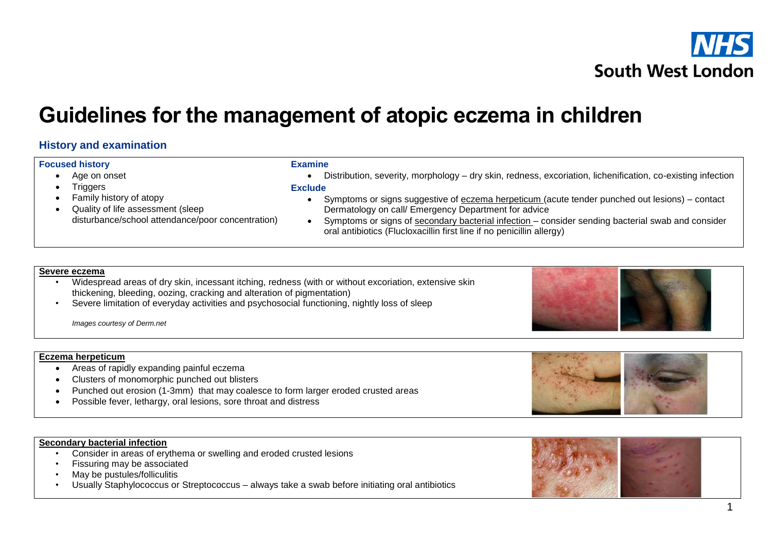

# **South West London**

## **Guidelines for the management of atopic eczema in children**

### **History and examination**

#### **Focused history**

• Age on onset

- Triggers
- Family history of atopy
- Quality of life assessment (sleep disturbance/school attendance/poor concentration)

#### **Examine** Distribution, severity, morphology – dry skin, redness, excoriation, lichenification, co-existing infection

#### **Exclude**

- Symptoms or signs suggestive of eczema herpeticum (acute tender punched out lesions) contact Dermatology on call/ Emergency Department for advice
- Symptoms or signs of secondary bacterial infection consider sending bacterial swab and consider oral antibiotics (Flucloxacillin first line if no penicillin allergy)

#### **Severe eczema**

- Widespread areas of dry skin, incessant itching, redness (with or without excoriation, extensive skin thickening, bleeding, oozing, cracking and alteration of pigmentation)
- Severe limitation of everyday activities and psychosocial functioning, nightly loss of sleep

*Images courtesy of Derm.net*

#### **Eczema herpeticum**

- Areas of rapidly expanding painful eczema
- Clusters of monomorphic punched out blisters
- Punched out erosion (1-3mm) that may coalesce to form larger eroded crusted areas
- Possible fever, lethargy, oral lesions, sore throat and distress

#### **Secondary bacterial infection**

- Consider in areas of erythema or swelling and eroded crusted lesions
- Fissuring may be associated
- May be pustules/folliculitis
- Usually Staphylococcus or Streptococcus always take a swab before initiating oral antibiotics